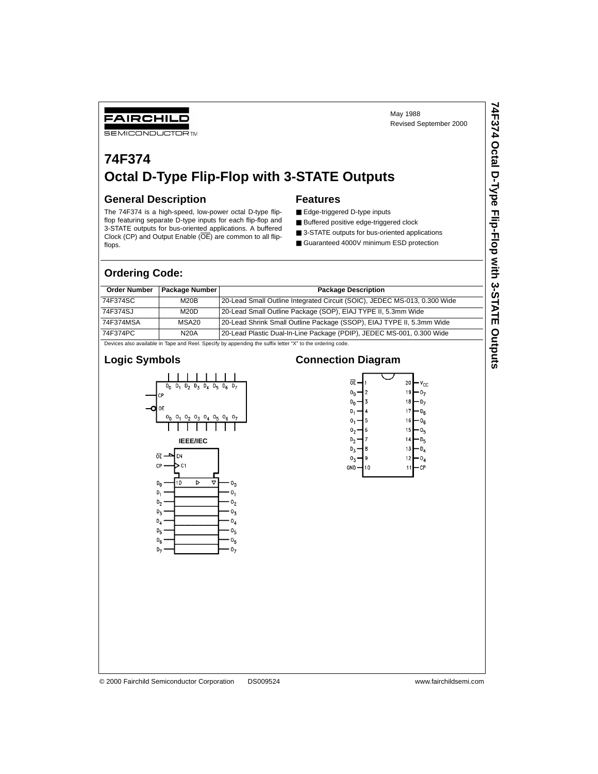Revised September 2000

## FAIRCHILD

**SEMICONDUCTOR TM** 

# **74F374 Octal D-Type Flip-Flop with 3-STATE Outputs**

#### **General Description**

#### **Features**

The 74F374 is a high-speed, low-power octal D-type flipflop featuring separate D-type inputs for each flip-flop and 3-STATE outputs for bus-oriented applications. A buffered Clock (CP) and Output Enable (OE) are common to all flipflops.

■ Edge-triggered D-type inputs

- Buffered positive edge-triggered clock
- 3-STATE outputs for bus-oriented applications ■ Guaranteed 4000V minimum ESD protection

May 1988

#### **Ordering Code:**

| <b>Order Number</b>                                                                                       | Package Number | <b>Package Description</b>                                                |  |  |  |
|-----------------------------------------------------------------------------------------------------------|----------------|---------------------------------------------------------------------------|--|--|--|
| 74F374SC                                                                                                  | M20B           | 20-Lead Small Outline Integrated Circuit (SOIC), JEDEC MS-013, 0.300 Wide |  |  |  |
| 74F374SJ                                                                                                  | M20D           | 20-Lead Small Outline Package (SOP), EIAJ TYPE II, 5.3mm Wide             |  |  |  |
| 74F374MSA                                                                                                 | MSA20          | 20-Lead Shrink Small Outline Package (SSOP), EIAJ TYPE II, 5.3mm Wide     |  |  |  |
| 74F374PC                                                                                                  | <b>N20A</b>    | 20-Lead Plastic Dual-In-Line Package (PDIP), JEDEC MS-001, 0.300 Wide     |  |  |  |
| Devices also available in Tape and Reel. Specify by appending the suffix letter "X" to the ordering code. |                |                                                                           |  |  |  |

### **Logic Symbols**



#### **Connection Diagram**

| ᅊ              |    | 20 | <sup>V</sup> cc |
|----------------|----|----|-----------------|
| 0              | 2  | 19 |                 |
| D <sub>n</sub> | 3  | 18 | D <sub>7</sub>  |
| D,             | 4  | 17 | $D_{6}$         |
| ٥,             | 5  | 16 | o <sub>6</sub>  |
| ٥,             | 6  | 15 | o,              |
| D,             | 7  | 14 | D,              |
| D,             | 8  | 13 | D,              |
| 03             | 9  | 12 | $0_{4}$         |
| GND            | 10 |    | СP              |
|                |    |    |                 |

© 2000 Fairchild Semiconductor Corporation DS009524 www.fairchildsemi.com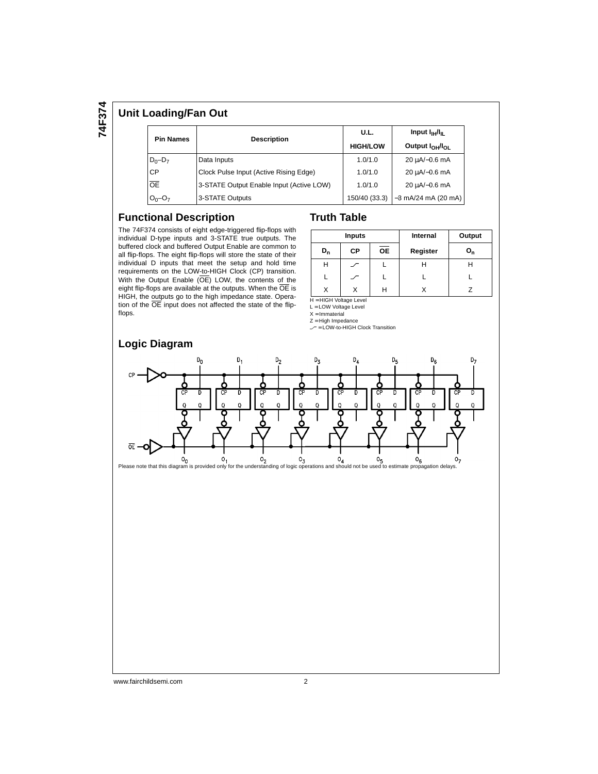**74F374**

#### **Unit Loading/Fan Out**

| <b>Pin Names</b> |                                          | U.L.            | Input $I_{\text{H}}/I_{\text{H}}$                                                                                   |  |
|------------------|------------------------------------------|-----------------|---------------------------------------------------------------------------------------------------------------------|--|
|                  | <b>Description</b>                       | <b>HIGH/LOW</b> | Output I <sub>OH</sub> /I <sub>OI</sub><br>20 uA/-0.6 mA<br>20 µA/-0.6 mA<br>20 µA/-0.6 mA<br>$-3$ mA/24 mA (20 mA) |  |
| $D_0 - D_7$      | Data Inputs                              | 1.0/1.0         |                                                                                                                     |  |
| <b>CP</b>        | Clock Pulse Input (Active Rising Edge)   | 1.0/1.0         |                                                                                                                     |  |
| $\overline{OE}$  | 3-STATE Output Enable Input (Active LOW) | 1.0/1.0         |                                                                                                                     |  |
| $O_0 - O_7$      | 3-STATE Outputs                          | 150/40 (33.3)   |                                                                                                                     |  |

#### **Functional Description**

The 74F374 consists of eight edge-triggered flip-flops with individual D-type inputs and 3-STATE true outputs. The buffered clock and buffered Output Enable are common to all flip-flops. The eight flip-flops will store the state of their individual D inputs that meet the setup and hold time requirements on the LOW-to-HIGH Clock (CP) transition. With the Output Enable (OE) LOW, the contents of the eight flip-flops are available at the outputs. When the  $\overline{OE}$  is HIGH, the outputs go to the high impedance state. Operation of the OE input does not affected the state of the flipflops.

#### **Truth Table**

|       | <b>Inputs</b> |    | Internal | Output  |  |  |
|-------|---------------|----|----------|---------|--|--|
| $D_n$ | СP            | OE | Register | $O_{n}$ |  |  |
| н     |               |    | Н        | н       |  |  |
|       |               |    |          |         |  |  |
|       | v             | Н  |          |         |  |  |

H = HIGH Voltage Level

L = LOW Voltage Level

X = Immaterial Z = High Impedance

 $\angle$  = LOW-to-HIGH Clock Transition



#### www.fairchildsemi.com 2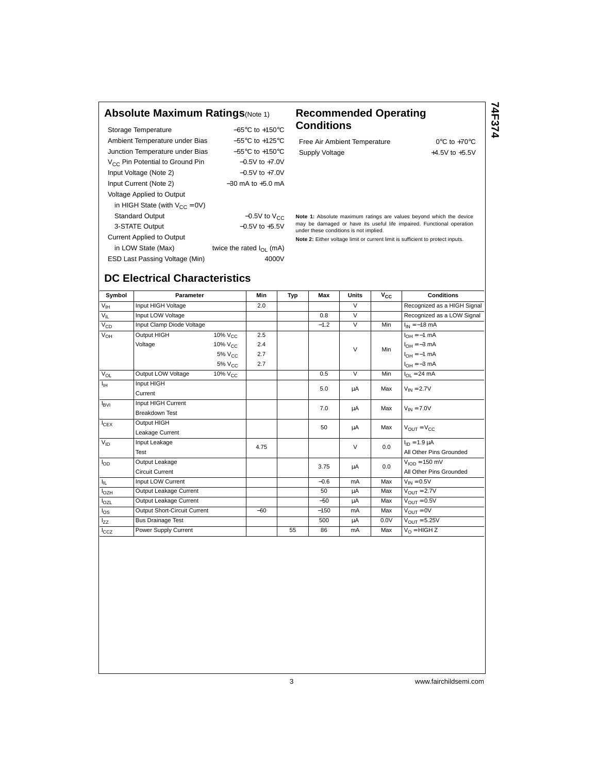#### **Absolute Maximum Ratings**(Note 1) **Recommended Operating**

| Storage Temperature                  | $-65^{\circ}$ C to $+150^{\circ}$ C |
|--------------------------------------|-------------------------------------|
| Ambient Temperature under Bias       | $-55^{\circ}$ C to $+125^{\circ}$ C |
| Junction Temperature under Bias      | $-55^{\circ}$ C to $+150^{\circ}$ C |
| $V_{CC}$ Pin Potential to Ground Pin | $-0.5V$ to $+7.0V$                  |
| Input Voltage (Note 2)               | $-0.5V$ to $+7.0V$                  |
| Input Current (Note 2)               | $-30$ mA to $+5.0$ mA               |
| Voltage Applied to Output            |                                     |
| in HIGH State (with $V_{CC} = 0V$ )  |                                     |
| <b>Standard Output</b>               | $-0.5V$ to $V_{CC}$                 |
| 3-STATE Output                       | $-0.5V$ to $+5.5V$                  |
| <b>Current Applied to Output</b>     |                                     |
| in LOW State (Max)                   | twice the rated $I_{\Omega}$ (mA)   |
| ESD Last Passing Voltage (Min)       | 4000V                               |

# **Conditions**

Free Air Ambient Temperature 0°C to +70°C Supply Voltage  $+4.5V$  to  $+5.5V$  **74F374**

**Note 1:** Absolute maximum ratings are values beyond which the device may be damaged or have its useful life impaired. Functional operation under these conditions is not implied.

**Note 2:** Either voltage limit or current limit is sufficient to protect inputs.

## **DC Electrical Characteristics**

| Symbol           | <b>Parameter</b>             |                     | <b>Min</b> | Typ | Max    | <b>Units</b>   | $\bar{v}_{cc}$ | <b>Conditions</b>                |
|------------------|------------------------------|---------------------|------------|-----|--------|----------------|----------------|----------------------------------|
| $V_{\text{IH}}$  | Input HIGH Voltage           |                     | 2.0        |     |        | $\vee$         |                | Recognized as a HIGH Signal      |
| $V_{IL}$         | Input LOW Voltage            |                     |            |     | 0.8    | $\overline{V}$ |                | Recognized as a LOW Signal       |
| $V_{CD}$         | Input Clamp Diode Voltage    |                     |            |     | $-1.2$ | $\overline{V}$ | Min            | $I_{IN} = -18$ mA                |
| $V_{OH}$         | Output HIGH                  | 10% $V_{\text{CC}}$ | 2.5        |     |        |                |                | $I_{OH} = -1$ mA                 |
|                  | Voltage                      | 10% V <sub>CC</sub> | 2.4        |     |        | $\vee$         | Min            | $I_{OH} = -3$ mA                 |
|                  |                              | 5% V <sub>CC</sub>  | 2.7        |     |        |                |                | $I_{OH} = -1$ mA                 |
|                  |                              | $5\%$ $V_{C}$       | 2.7        |     |        |                |                | $I_{OH} = -3$ mA                 |
| $V_{OL}$         | Output LOW Voltage           | $10\%$ $V_{C}$      |            |     | 0.5    | $\vee$         | Min            | $I_{OL} = 24$ mA                 |
| ŀн               | Input HIGH                   |                     |            |     | 5.0    | μA             | Max            | $V_{IN} = 2.7V$                  |
|                  | Current                      |                     |            |     |        |                |                |                                  |
| $I_{\text{BVI}}$ | Input HIGH Current           |                     |            |     | 7.0    | μA             | Max            | $V_{IN} = 7.0V$                  |
|                  | <b>Breakdown Test</b>        |                     |            |     |        |                |                |                                  |
| $I_{CEX}$        | Output HIGH                  |                     |            |     | 50     | μA             | Max            | $V_{\text{OUT}} = V_{\text{CC}}$ |
|                  | Leakage Current              |                     |            |     |        |                |                |                                  |
| $V_{ID}$         | Input Leakage                |                     | 4.75       |     |        | $\vee$         | 0.0            | $I_{ID} = 1.9 \mu A$             |
|                  | Test                         |                     |            |     |        |                |                | All Other Pins Grounded          |
| $I_{OD}$         | Output Leakage               |                     |            |     | 3.75   | μA             | 0.0            | $VION = 150$ mV                  |
|                  | <b>Circuit Current</b>       |                     |            |     |        |                |                | All Other Pins Grounded          |
| Ι'n.             | Input LOW Current            |                     |            |     | $-0.6$ | mA             | Max            | $V_{IN} = 0.5V$                  |
| $I_{OZH}$        | Output Leakage Current       |                     |            |     | 50     | μA             | Max            | $V_{OUT} = 2.7V$                 |
| $I_{OZL}$        | Output Leakage Current       |                     |            |     | $-50$  | μA             | Max            | $V_{\text{OUT}} = 0.5V$          |
| $I_{OS}$         | Output Short-Circuit Current |                     | $-60$      |     | $-150$ | mA             | Max            | $V_{OIIT} = 0V$                  |
| l <sub>zz</sub>  | <b>Bus Drainage Test</b>     |                     |            |     | 500    | μA             | 0.0V           | $V_{OIIT} = 5.25V$               |
| lccz             | Power Supply Current         |                     |            | 55  | 86     | mA             | Max            | $V_{\Omega}$ = HIGH Z            |
|                  |                              |                     |            |     |        |                |                |                                  |

3 www.fairchildsemi.com